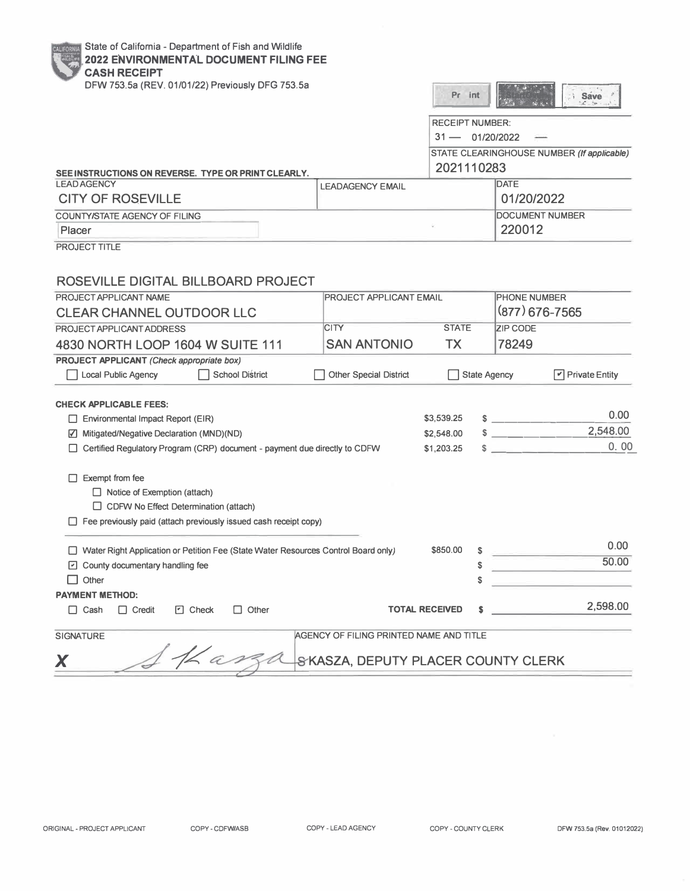**NIA** State of California - Department of Fish and Wildlife

## **2022 ENVIRONMENTAL DOCUMENT FILING FEE**

| <b>CASH RECEIPT</b>                                                                                |                                         |                        |                     |                                       |                                            |
|----------------------------------------------------------------------------------------------------|-----------------------------------------|------------------------|---------------------|---------------------------------------|--------------------------------------------|
| DFW 753.5a (REV. 01/01/22) Previously DFG 753.5a                                                   |                                         | Pr int                 |                     |                                       | <b>i</b> Save                              |
|                                                                                                    |                                         | <b>RECEIPT NUMBER:</b> |                     |                                       |                                            |
|                                                                                                    |                                         | $31 - 01/20/2022$      |                     |                                       |                                            |
|                                                                                                    |                                         |                        |                     |                                       | STATE CLEARINGHOUSE NUMBER (If applicable) |
| SEE INSTRUCTIONS ON REVERSE. TYPE OR PRINT CLEARLY.                                                |                                         | 2021110283             |                     |                                       |                                            |
| <b>LEAD AGENCY</b>                                                                                 | <b>LEADAGENCY EMAIL</b>                 |                        |                     | DATE                                  |                                            |
| <b>CITY OF ROSEVILLE</b>                                                                           |                                         |                        |                     | 01/20/2022                            |                                            |
| <b>COUNTY/STATE AGENCY OF FILING</b>                                                               |                                         |                        |                     | <b>DOCUMENT NUMBER</b>                |                                            |
| Placer                                                                                             |                                         |                        |                     | 220012                                |                                            |
| PROJECT TITLE                                                                                      |                                         |                        |                     |                                       |                                            |
|                                                                                                    |                                         |                        |                     |                                       |                                            |
|                                                                                                    |                                         |                        |                     |                                       |                                            |
| ROSEVILLE DIGITAL BILLBOARD PROJECT                                                                |                                         |                        |                     |                                       |                                            |
| PROJECT APPLICANT NAME                                                                             | PROJECT APPLICANT EMAIL                 |                        |                     | <b>PHONE NUMBER</b><br>(877) 676-7565 |                                            |
| <b>CLEAR CHANNEL OUTDOOR LLC</b>                                                                   |                                         |                        |                     |                                       |                                            |
| PROJECT APPLICANT ADDRESS                                                                          | <b>CITY</b>                             | <b>STATE</b>           |                     | <b>ZIP CODE</b>                       |                                            |
| 4830 NORTH LOOP 1604 W SUITE 111                                                                   | <b>SAN ANTONIO</b>                      | <b>TX</b>              |                     | 78249                                 |                                            |
| <b>PROJECT APPLICANT (Check appropriate box)</b>                                                   |                                         |                        |                     |                                       |                                            |
| <b>School District</b><br><b>Local Public Agency</b>                                               | <b>Other Special District</b>           |                        | <b>State Agency</b> |                                       | $\boxed{\triangledown}$ Private Entity     |
|                                                                                                    |                                         |                        |                     |                                       |                                            |
| <b>CHECK APPLICABLE FEES:</b>                                                                      |                                         | \$3,539.25             |                     |                                       | 0.00                                       |
| $\Box$ Environmental Impact Report (EIR)                                                           |                                         | \$2,548.00             |                     | $s$ _______                           | 2,548.00                                   |
| ☑ Mitigated/Negative Declaration (MND)(ND)                                                         |                                         |                        |                     |                                       | 0.00                                       |
| $\sim$<br>Certified Regulatory Program (CRP) document - payment due directly to CDFW<br>\$1,203.25 |                                         |                        |                     |                                       |                                            |
| $\Box$ Exempt from fee                                                                             |                                         |                        |                     |                                       |                                            |
| $\Box$ Notice of Exemption (attach)                                                                |                                         |                        |                     |                                       |                                            |
| $\Box$ CDFW No Effect Determination (attach)                                                       |                                         |                        |                     |                                       |                                            |
| $\Box$ Fee previously paid (attach previously issued cash receipt copy)                            |                                         |                        |                     |                                       |                                            |
|                                                                                                    |                                         |                        |                     |                                       |                                            |
| Water Right Application or Petition Fee (State Water Resources Control Board only)                 |                                         | \$850.00               | S                   |                                       | 0.00                                       |
| $\Box$ County documentary handling fee                                                             |                                         |                        | \$                  |                                       | 50.00                                      |
| $\Box$ Other                                                                                       |                                         |                        | \$                  |                                       |                                            |
| <b>PAYMENT METHOD:</b>                                                                             |                                         |                        |                     |                                       |                                            |
| O Check<br>$\Box$ Other<br>$\Box$ Credit<br>$\Box$ Cash                                            |                                         | <b>TOTAL RECEIVED</b>  |                     |                                       | 2,598.00                                   |
| <b>SIGNATURE</b>                                                                                   | AGENCY OF FILING PRINTED NAME AND TITLE |                        |                     |                                       |                                            |
|                                                                                                    |                                         |                        |                     |                                       |                                            |
| X                                                                                                  | SKASZA, DEPUTY PLACER COUNTY CLERK      |                        |                     |                                       |                                            |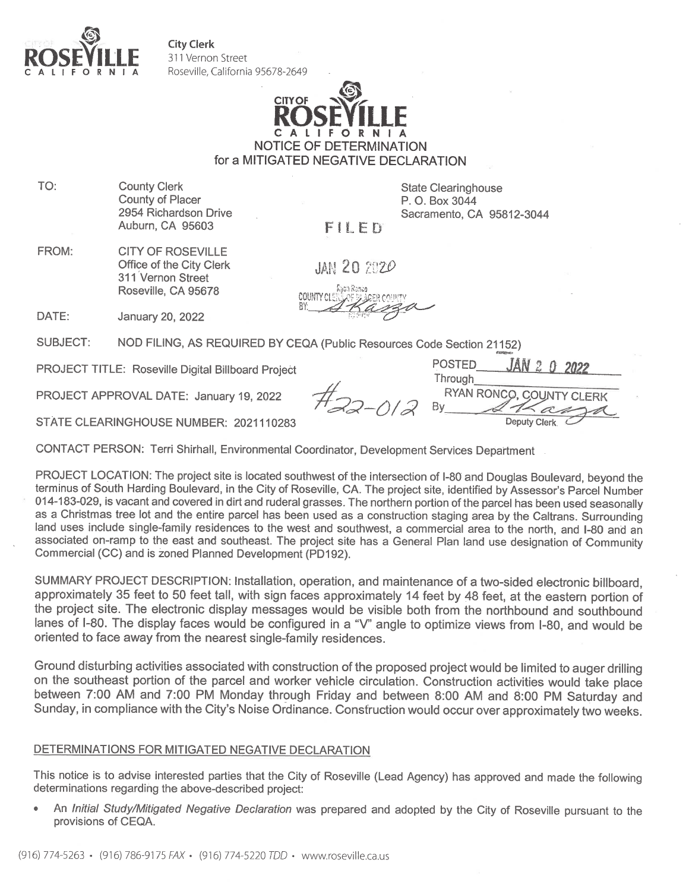

DATE:

**City Clerk** 311 Vernon Street Roseville, California 95678-2649



for a MITIGATED NEGATIVE DECLARATION

TO: **County Clerk County of Placer** 2954 Richardson Drive Auburn, CA 95603

**State Clearinghouse** P. O. Box 3044 Sacramento, CA 95812-3044

FILED

FROM: **CITY OF ROSEVILLE** Office of the City Clerk 311 Vernon Street Roseville, CA 95678

**JAN 20 2020** 

**COUNTY CLERKING** 

**SUBJECT:** NOD FILING, AS REQUIRED BY CEQA (Public Resources Code Section 21152)

**PROJECT TITLE: Roseville Digital Billboard Project** 

January 20, 2022

PROJECT APPROVAL DATE: January 19, 2022

**POSTED** Through **RYAN RONCO** 

STATE CLEARINGHOUSE NUMBER: 2021110283

CONTACT PERSON: Terri Shirhall, Environmental Coordinator, Development Services Department

PROJECT LOCATION: The project site is located southwest of the intersection of I-80 and Douglas Boulevard, beyond the terminus of South Harding Boulevard, in the City of Roseville, CA. The project site, identified by Assessor's Parcel Number 014-183-029, is vacant and covered in dirt and ruderal grasses. The northern portion of the parcel has been used seasonally as a Christmas tree lot and the entire parcel has been used as a construction staging area by the Caltrans. Surrounding land uses include single-family residences to the west and southwest, a commercial area to the north, and I-80 and an associated on-ramp to the east and southeast. The project site has a General Plan land use designation of Community Commercial (CC) and is zoned Planned Development (PD192).

SUMMARY PROJECT DESCRIPTION: Installation, operation, and maintenance of a two-sided electronic billboard, approximately 35 feet to 50 feet tall, with sign faces approximately 14 feet by 48 feet, at the eastern portion of the project site. The electronic display messages would be visible both from the northbound and southbound lanes of I-80. The display faces would be configured in a "V" angle to optimize views from I-80, and would be oriented to face away from the nearest single-family residences.

Ground disturbing activities associated with construction of the proposed project would be limited to auger drilling on the southeast portion of the parcel and worker vehicle circulation. Construction activities would take place between 7:00 AM and 7:00 PM Monday through Friday and between 8:00 AM and 8:00 PM Saturday and Sunday, in compliance with the City's Noise Ordinance. Construction would occur over approximately two weeks.

## DETERMINATIONS FOR MITIGATED NEGATIVE DECLARATION

This notice is to advise interested parties that the City of Roseville (Lead Agency) has approved and made the following determinations regarding the above-described project:

An Initial Study/Mitigated Negative Declaration was prepared and adopted by the City of Roseville pursuant to the provisions of CEQA.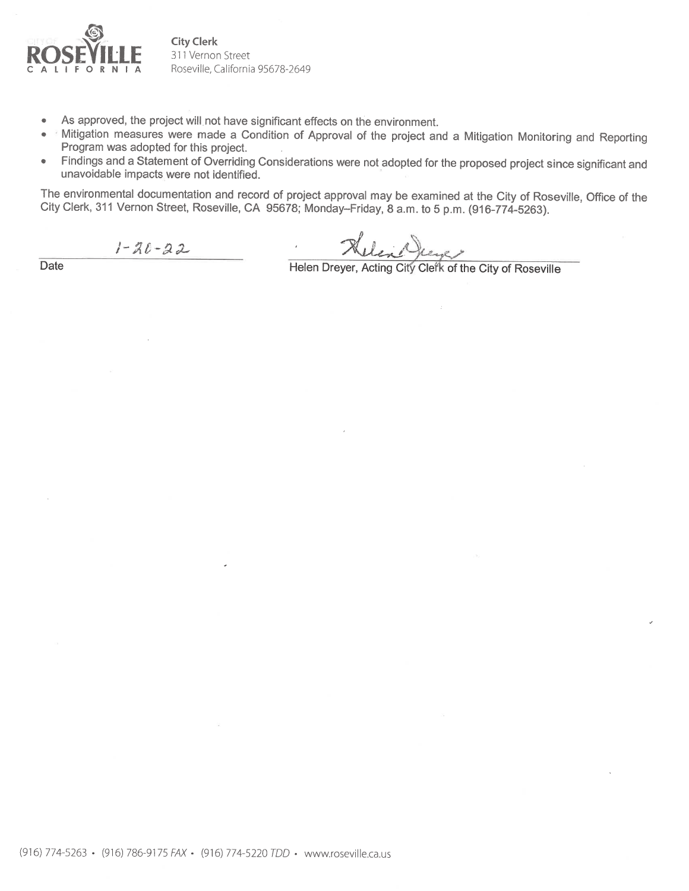

**City Clerk** 311 Vernon Street Roseville, California 95678-2649

- As approved, the project will not have significant effects on the environment.  $\overline{\phantom{a}}$
- Mitigation measures were made a Condition of Approval of the project and a Mitigation Monitoring and Reporting Program was adopted for this project.
- Findings and a Statement of Overriding Considerations were not adopted for the proposed project since significant and  $\bullet$ unavoidable impacts were not identified.

The environmental documentation and record of project approval may be examined at the City of Roseville, Office of the City Clerk, 311 Vernon Street, Roseville, CA 95678; Monday-Friday, 8 a.m. to 5 p.m. (916-774-5263).

 $1 - 20 - 22$ 

Helen Dreyer, Acting City Clerk of the City of Roseville

Date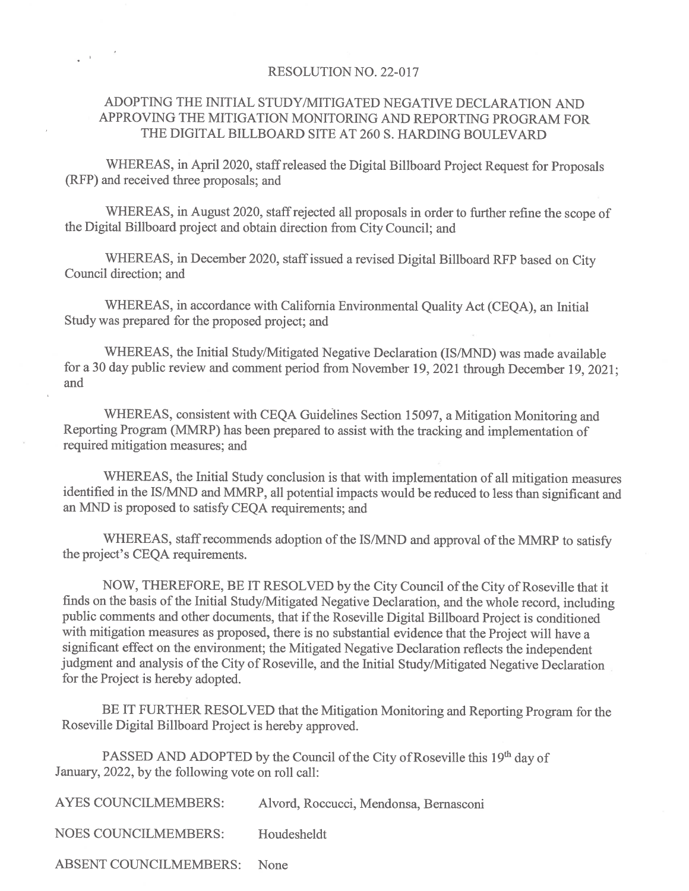## RESOLUTION NO. 22-017

 $\rightarrow$ 

## ADOPTING THE INITIAL STUDY/MITIGATED NEGATIVE DECLARATION AND APPROVING THE MITIGATION MONITORING AND REPORTING PROGRAM FOR THE DIGITAL BILLBOARD SITE AT 260 S. HARDING BOULEVARD

WHEREAS, in April 2020, staff released the Digital Billboard Project Request for Proposals (RFP) and received three proposals; and

WHEREAS, in August 2020, staff rejected all proposals in order to further refine the scope of the Digital Billboard project and obtain direction from City Council; and

WHEREAS, in December 2020, staff issued a revised Digital Billboard RFP based on City Council direction; and

WHEREAS, in accordance with California Environmental Quality Act (CEQA), an Initial Study was prepared for the proposed project; and

WHEREAS, the Initial Study/Mitigated Negative Declaration (IS/MND) was made available for a 30 day public review and comment period from November 19, 2021 through December 19, 2021; and

WHEREAS, consistent with CEQA Guidelines Section 15097, a Mitigation Monitoring and Reporting Program (MMRP) has been prepared to assist with the tracking and implementation of required mitigation measures; and

WHEREAS, the Initial Study conclusion is that with implementation of all mitigation measures identified in the IS/MND and MMRP, all potential impacts would be reduced to less than significant and an MND is proposed to satisfy CEQA requirements; and

WHEREAS, staff recommends adoption of the IS/MND and approval of the MMRP to satisfy the project's CEQA requirements.

NOW, THEREFORE, BE IT RESOLVED by the City Council of the City of Roseville that it finds on the basis of the Initial Study/Mitigated Negative Declaration, and the whole record, including public comments and other documents, that if the Roseville Digital Billboard Project is conditioned with mitigation measures as proposed, there is no substantial evidence that the Project will have a significant effect on the environment; the Mitigated Negative Declaration reflects the independent judgment and analysis of the City of Roseville, and the Initial Study/Mitigated Negative Declaration for the Project is hereby adopted.

BE IT FURTHER RESOLVED that the Mitigation Monitoring and Reporting Program for the Roseville Digital Billboard Project is hereby approved.

PASSED AND ADOPTED by the Council of the City of Roseville this 19<sup>th</sup> day of January, 2022, by the following vote on roll call:

| <b>AYES COUNCILMEMBERS:</b>   | Alvord, Roccucci, Mendonsa, Bernasconi |
|-------------------------------|----------------------------------------|
| <b>NOES COUNCILMEMBERS:</b>   | Houdesheldt                            |
| <b>ABSENT COUNCILMEMBERS:</b> | <b>None</b>                            |